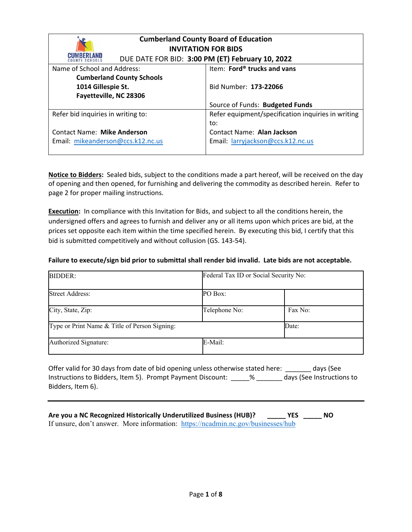| <b>Cumberland County Board of Education</b><br><b>INVITATION FOR BIDS</b> |                                                    |  |
|---------------------------------------------------------------------------|----------------------------------------------------|--|
| <b>CUMBERLAND</b>                                                         | DUE DATE FOR BID: 3:00 PM (ET) February 10, 2022   |  |
| Name of School and Address:                                               | Item: Ford® trucks and vans                        |  |
| <b>Cumberland County Schools</b>                                          |                                                    |  |
| 1014 Gillespie St.                                                        | Bid Number: 173-22066                              |  |
| Fayetteville, NC 28306                                                    |                                                    |  |
|                                                                           | Source of Funds: Budgeted Funds                    |  |
| Refer bid inquiries in writing to:                                        | Refer equipment/specification inquiries in writing |  |
|                                                                           | to:                                                |  |
| <b>Contact Name: Mike Anderson</b>                                        | Contact Name: Alan Jackson                         |  |
| Email: mikeanderson@ccs.k12.nc.us                                         | Email: larryjackson@ccs.k12.nc.us                  |  |

**Notice to Bidders:** Sealed bids, subject to the conditions made a part hereof, will be received on the day of opening and then opened, for furnishing and delivering the commodity as described herein. Refer to page 2 for proper mailing instructions.

**Execution:** In compliance with this Invitation for Bids, and subject to all the conditions herein, the undersigned offers and agrees to furnish and deliver any or all items upon which prices are bid, at the prices set opposite each item within the time specified herein. By executing this bid, I certify that this bid is submitted competitively and without collusion (GS. 143‐54).

#### **Failure to execute/sign bid prior to submittal shall render bid invalid. Late bids are not acceptable.**

| <b>BIDDER:</b>                                | Federal Tax ID or Social Security No: |         |
|-----------------------------------------------|---------------------------------------|---------|
| <b>Street Address:</b>                        | PO Box:                               |         |
| City, State, Zip:                             | Telephone No:                         | Fax No: |
| Type or Print Name & Title of Person Signing: |                                       | Date:   |
| Authorized Signature:                         | E-Mail:                               |         |

Offer valid for 30 days from date of bid opening unless otherwise stated here: \_\_\_\_\_\_\_ days (See Instructions to Bidders, Item 5). Prompt Payment Discount: \_\_\_\_\_% \_\_\_\_\_\_\_ days (See Instructions to Bidders, Item 6).

**Are you a NC Recognized Historically Underutilized Business (HUB)? \_\_\_\_\_ YES \_\_\_\_\_ NO**  If unsure, don't answer. More information: https://ncadmin.nc.gov/businesses/hub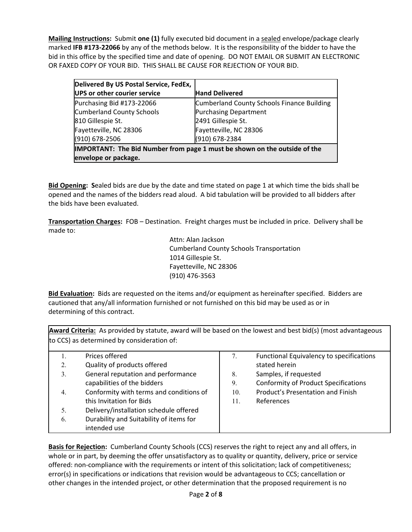**Mailing Instructions:** Submit **one (1)** fully executed bid document in a sealed envelope/package clearly marked **IFB #173‐22066** by any of the methods below. It is the responsibility of the bidder to have the bid in this office by the specified time and date of opening. DO NOT EMAIL OR SUBMIT AN ELECTRONIC OR FAXED COPY OF YOUR BID. THIS SHALL BE CAUSE FOR REJECTION OF YOUR BID.

| Delivered By US Postal Service, FedEx,                                    |                                            |  |
|---------------------------------------------------------------------------|--------------------------------------------|--|
| UPS or other courier service                                              | <b>Hand Delivered</b>                      |  |
| Purchasing Bid #173-22066                                                 | Cumberland County Schools Finance Building |  |
| <b>Cumberland County Schools</b>                                          | <b>Purchasing Department</b>               |  |
| 810 Gillespie St.                                                         | 2491 Gillespie St.                         |  |
| Fayetteville, NC 28306                                                    | Fayetteville, NC 28306                     |  |
| (910) 678-2506                                                            | (910) 678-2384                             |  |
| IMPORTANT: The Bid Number from page 1 must be shown on the outside of the |                                            |  |
| envelope or package.                                                      |                                            |  |

**Bid Opening: S**ealed bids are due by the date and time stated on page 1 at which time the bids shall be opened and the names of the bidders read aloud. A bid tabulation will be provided to all bidders after the bids have been evaluated.

**Transportation Charges:** FOB – Destination. Freight charges must be included in price. Delivery shall be made to:

> Attn: Alan Jackson Cumberland County Schools Transportation 1014 Gillespie St. Fayetteville, NC 28306 (910) 476‐3563

**Bid Evaluation:** Bids are requested on the items and/or equipment as hereinafter specified. Bidders are cautioned that any/all information furnished or not furnished on this bid may be used as or in determining of this contract.

**Award Criteria:** As provided by statute, award will be based on the lowest and best bid(s) (most advantageous to CCS) as determined by consideration of:

|    | Prices offered                          | 7.  | Functional Equivalency to specifications    |
|----|-----------------------------------------|-----|---------------------------------------------|
| 2. | Quality of products offered             |     | stated herein                               |
| 3. | General reputation and performance      | 8.  | Samples, if requested                       |
|    | capabilities of the bidders             | 9.  | <b>Conformity of Product Specifications</b> |
| 4. | Conformity with terms and conditions of | 10. | Product's Presentation and Finish           |
|    | this Invitation for Bids                | 11. | References                                  |
| 5. | Delivery/installation schedule offered  |     |                                             |
| 6. | Durability and Suitability of items for |     |                                             |
|    | intended use                            |     |                                             |

**Basis for Rejection:** Cumberland County Schools (CCS) reserves the right to reject any and all offers, in whole or in part, by deeming the offer unsatisfactory as to quality or quantity, delivery, price or service offered: non‐compliance with the requirements or intent of this solicitation; lack of competitiveness; error(s) in specifications or indications that revision would be advantageous to CCS; cancellation or other changes in the intended project, or other determination that the proposed requirement is no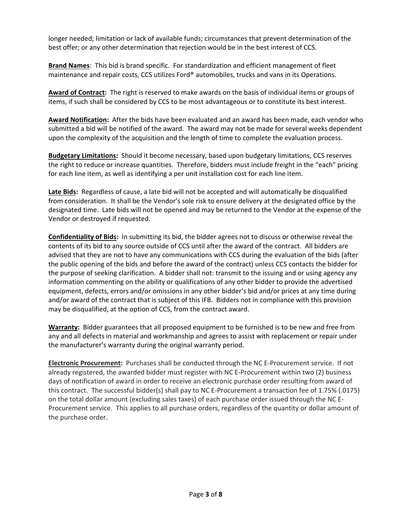longer needed; limitation or lack of available funds; circumstances that prevent determination of the best offer; or any other determination that rejection would be in the best interest of CCS.

**Brand Names**: This bid is brand specific. For standardization and efficient management of fleet maintenance and repair costs, CCS utilizes Ford® automobiles, trucks and vans in its Operations.

**Award of Contract:** The right is reserved to make awards on the basis of individual items or groups of items, if such shall be considered by CCS to be most advantageous or to constitute its best interest.

Award Notification: After the bids have been evaluated and an award has been made, each vendor who submitted a bid will be notified of the award. The award may not be made for several weeks dependent upon the complexity of the acquisition and the length of time to complete the evaluation process.

**Budgetary Limitations:** Should it become necessary, based upon budgetary limitations, CCS reserves the right to reduce or increase quantities. Therefore, bidders must include freight in the "each" pricing for each line item, as well as identifying a per unit installation cost for each line item.

Late Bids: Regardless of cause, a late bid will not be accepted and will automatically be disqualified from consideration. It shall be the Vendor's sole risk to ensure delivery at the designated office by the designated time. Late bids will not be opened and may be returned to the Vendor at the expense of the Vendor or destroyed if requested.

**Confidentiality of Bids:** In submitting its bid, the bidder agrees not to discuss or otherwise reveal the contents of its bid to any source outside of CCS until after the award of the contract. All bidders are advised that they are not to have any communications with CCS during the evaluation of the bids (after the public opening of the bids and before the award of the contract) unless CCS contacts the bidder for the purpose of seeking clarification. A bidder shall not: transmit to the issuing and or using agency any information commenting on the ability or qualifications of any other bidder to provide the advertised equipment, defects, errors and/or omissions in any other bidder's bid and/or prices at any time during and/or award of the contract that is subject of this IFB. Bidders not in compliance with this provision may be disqualified, at the option of CCS, from the contract award.

**Warranty:** Bidder guarantees that all proposed equipment to be furnished is to be new and free from any and all defects in material and workmanship and agrees to assist with replacement or repair under the manufacturer's warranty during the original warranty period.

**Electronic Procurement:** Purchases shall be conducted through the NC E-Procurement service. If not already registered, the awarded bidder must register with NC E‐Procurement within two (2) business days of notification of award in order to receive an electronic purchase order resulting from award of this contract. The successful bidder(s) shall pay to NC E‐Procurement a transaction fee of 1.75% (.0175) on the total dollar amount (excluding sales taxes) of each purchase order issued through the NC E‐ Procurement service. This applies to all purchase orders, regardless of the quantity or dollar amount of the purchase order.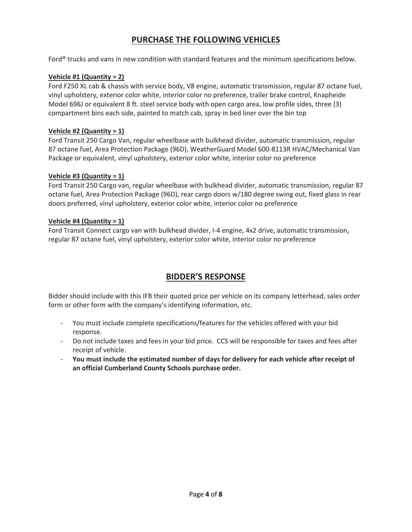# **PURCHASE THE FOLLOWING VEHICLES**

Ford® trucks and vans in new condition with standard features and the minimum specifications below.

# **Vehicle #1 (Quantity = 2)**

Ford F250 XL cab & chassis with service body, V8 engine, automatic transmission, regular 87 octane fuel, vinyl upholstery, exterior color white, interior color no preference, trailer brake control, Knapheide Model 696J or equivalent 8 ft. steel service body with open cargo area, low profile sides, three (3) compartment bins each side, painted to match cab, spray in bed liner over the bin top

# **Vehicle #2 (Quantity = 1)**

Ford Transit 250 Cargo Van, regular wheelbase with bulkhead divider, automatic transmission, regular 87 octane fuel, Area Protection Package (96D), WeatherGuard Model 600‐8113R HVAC/Mechanical Van Package or equivalent, vinyl upholstery, exterior color white, interior color no preference

#### **Vehicle #3 (Quantity = 1)**

Ford Transit 250 Cargo van, regular wheelbase with bulkhead divider, automatic transmission, regular 87 octane fuel, Area Protection Package (96D), rear cargo doors w/180 degree swing out, fixed glass in rear doors preferred, vinyl upholstery, exterior color white, interior color no preference

# **Vehicle #4 (Quantity = 1)**

Ford Transit Connect cargo van with bulkhead divider, I‐4 engine, 4x2 drive, automatic transmission, regular 87 octane fuel, vinyl upholstery, exterior color white, interior color no preference

# **BIDDER'S RESPONSE**

Bidder should include with this IFB their quoted price per vehicle on its company letterhead, sales order form or other form with the company's identifying information, etc.

- ‐ You must include complete specifications/features for the vehicles offered with your bid response.
- ‐ Do not include taxes and fees in your bid price. CCS will be responsible for taxes and fees after receipt of vehicle.
- ‐ **You must include the estimated number of days for delivery for each vehicle after receipt of an official Cumberland County Schools purchase order.**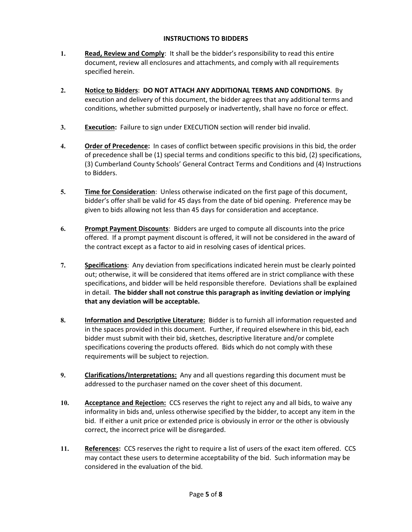# **INSTRUCTIONS TO BIDDERS**

- **1. Read, Review and Comply**: It shall be the bidder's responsibility to read this entire document, review all enclosures and attachments, and comply with all requirements specified herein.
- **2. Notice to Bidders**: **DO NOT ATTACH ANY ADDITIONAL TERMS AND CONDITIONS**. By execution and delivery of this document, the bidder agrees that any additional terms and conditions, whether submitted purposely or inadvertently, shall have no force or effect.
- **3. Execution:** Failure to sign under EXECUTION section will render bid invalid.
- **4. Order of Precedence:** In cases of conflict between specific provisions in this bid, the order of precedence shall be (1) special terms and conditions specific to this bid, (2) specifications, (3) Cumberland County Schools' General Contract Terms and Conditions and (4) Instructions to Bidders.
- **5. Time for Consideration**: Unless otherwise indicated on the first page of this document, bidder's offer shall be valid for 45 days from the date of bid opening. Preference may be given to bids allowing not less than 45 days for consideration and acceptance.
- **6. Prompt Payment Discounts**: Bidders are urged to compute all discounts into the price offered. If a prompt payment discount is offered, it will not be considered in the award of the contract except as a factor to aid in resolving cases of identical prices.
- **7. Specifications**: Any deviation from specifications indicated herein must be clearly pointed out; otherwise, it will be considered that items offered are in strict compliance with these specifications, and bidder will be held responsible therefore. Deviations shall be explained in detail. **The bidder shall not construe this paragraph as inviting deviation or implying that any deviation will be acceptable.**
- **8. Information and Descriptive Literature:** Bidder is to furnish all information requested and in the spaces provided in this document. Further, if required elsewhere in this bid, each bidder must submit with their bid, sketches, descriptive literature and/or complete specifications covering the products offered. Bids which do not comply with these requirements will be subject to rejection.
- **9. Clarifications/Interpretations:** Any and all questions regarding this document must be addressed to the purchaser named on the cover sheet of this document.
- **10. Acceptance and Rejection:** CCS reserves the right to reject any and all bids, to waive any informality in bids and, unless otherwise specified by the bidder, to accept any item in the bid. If either a unit price or extended price is obviously in error or the other is obviously correct, the incorrect price will be disregarded.
- 11. **References:** CCS reserves the right to require a list of users of the exact item offered. CCS may contact these users to determine acceptability of the bid. Such information may be considered in the evaluation of the bid.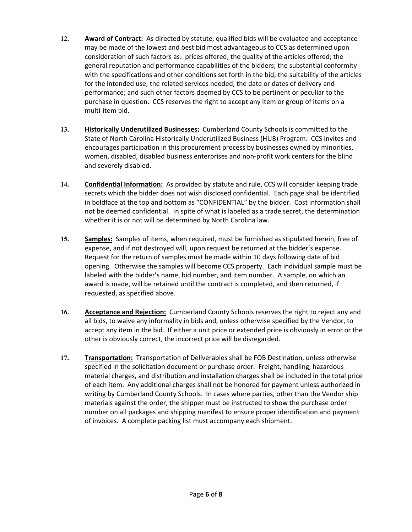- **12. Award of Contract:** As directed by statute, qualified bids will be evaluated and acceptance may be made of the lowest and best bid most advantageous to CCS as determined upon consideration of such factors as: prices offered; the quality of the articles offered; the general reputation and performance capabilities of the bidders; the substantial conformity with the specifications and other conditions set forth in the bid; the suitability of the articles for the intended use; the related services needed; the date or dates of delivery and performance; and such other factors deemed by CCS to be pertinent or peculiar to the purchase in question. CCS reserves the right to accept any item or group of items on a multi‐item bid.
- **13. Historically Underutilized Businesses:** Cumberland County Schools is committed to the State of North Carolina Historically Underutilized Business (HUB) Program. CCS invites and encourages participation in this procurement process by businesses owned by minorities, women, disabled, disabled business enterprises and non‐profit work centers for the blind and severely disabled.
- 14. **Confidential Information:** As provided by statute and rule, CCS will consider keeping trade secrets which the bidder does not wish disclosed confidential. Each page shall be identified in boldface at the top and bottom as "CONFIDENTIAL" by the bidder. Cost information shall not be deemed confidential. In spite of what is labeled as a trade secret, the determination whether it is or not will be determined by North Carolina law.
- **15. Samples:** Samples of items, when required, must be furnished as stipulated herein, free of expense, and if not destroyed will, upon request be returned at the bidder's expense. Request for the return of samples must be made within 10 days following date of bid opening. Otherwise the samples will become CCS property. Each individual sample must be labeled with the bidder's name, bid number, and item number. A sample, on which an award is made, will be retained until the contract is completed, and then returned, if requested, as specified above.
- **16. Acceptance and Rejection:** Cumberland County Schools reserves the right to reject any and all bids, to waive any informality in bids and, unless otherwise specified by the Vendor, to accept any item in the bid. If either a unit price or extended price is obviously in error or the other is obviously correct, the incorrect price will be disregarded.
- 17. **Transportation:** Transportation of Deliverables shall be FOB Destination, unless otherwise specified in the solicitation document or purchase order. Freight, handling, hazardous material charges, and distribution and installation charges shall be included in the total price of each item. Any additional charges shall not be honored for payment unless authorized in writing by Cumberland County Schools. In cases where parties, other than the Vendor ship materials against the order, the shipper must be instructed to show the purchase order number on all packages and shipping manifest to ensure proper identification and payment of invoices. A complete packing list must accompany each shipment.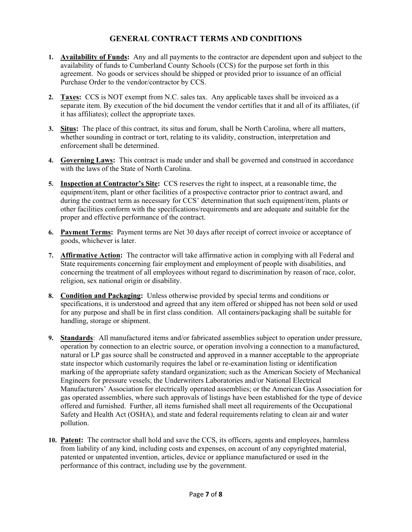# **GENERAL CONTRACT TERMS AND CONDITIONS**

- **1. Availability of Funds:** Any and all payments to the contractor are dependent upon and subject to the availability of funds to Cumberland County Schools (CCS) for the purpose set forth in this agreement. No goods or services should be shipped or provided prior to issuance of an official Purchase Order to the vendor/contractor by CCS.
- **2. Taxes:** CCS is NOT exempt from N.C. sales tax. Any applicable taxes shall be invoiced as a separate item. By execution of the bid document the vendor certifies that it and all of its affiliates, (if it has affiliates); collect the appropriate taxes.
- **3. Situs:** The place of this contract, its situs and forum, shall be North Carolina, where all matters, whether sounding in contract or tort, relating to its validity, construction, interpretation and enforcement shall be determined.
- **4. Governing Laws:** This contract is made under and shall be governed and construed in accordance with the laws of the State of North Carolina.
- **5. Inspection at Contractor's Site:** CCS reserves the right to inspect, at a reasonable time, the equipment/item, plant or other facilities of a prospective contractor prior to contract award, and during the contract term as necessary for CCS' determination that such equipment/item, plants or other facilities conform with the specifications/requirements and are adequate and suitable for the proper and effective performance of the contract.
- **6. Payment Terms:** Payment terms are Net 30 days after receipt of correct invoice or acceptance of goods, whichever is later.
- **7. Affirmative Action:** The contractor will take affirmative action in complying with all Federal and State requirements concerning fair employment and employment of people with disabilities, and concerning the treatment of all employees without regard to discrimination by reason of race, color, religion, sex national origin or disability.
- **8. Condition and Packaging:** Unless otherwise provided by special terms and conditions or specifications, it is understood and agreed that any item offered or shipped has not been sold or used for any purpose and shall be in first class condition. All containers/packaging shall be suitable for handling, storage or shipment.
- **9. Standards**: All manufactured items and/or fabricated assemblies subject to operation under pressure, operation by connection to an electric source, or operation involving a connection to a manufactured, natural or LP gas source shall be constructed and approved in a manner acceptable to the appropriate state inspector which customarily requires the label or re-examination listing or identification marking of the appropriate safety standard organization; such as the American Society of Mechanical Engineers for pressure vessels; the Underwriters Laboratories and/or National Electrical Manufacturers' Association for electrically operated assemblies; or the American Gas Association for gas operated assemblies, where such approvals of listings have been established for the type of device offered and furnished. Further, all items furnished shall meet all requirements of the Occupational Safety and Health Act (OSHA), and state and federal requirements relating to clean air and water pollution.
- **10. Patent:** The contractor shall hold and save the CCS, its officers, agents and employees, harmless from liability of any kind, including costs and expenses, on account of any copyrighted material, patented or unpatented invention, articles, device or appliance manufactured or used in the performance of this contract, including use by the government.